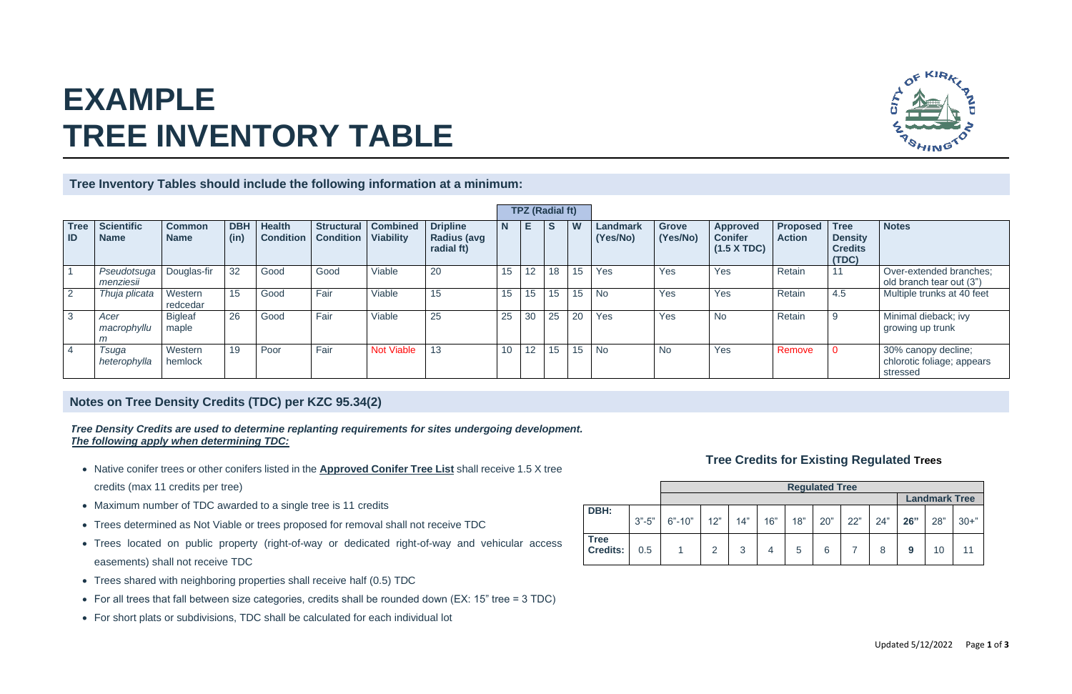|                                |           | <b>Regulated Tree</b> |     |     |     |     |     |     |     |     |     |          |
|--------------------------------|-----------|-----------------------|-----|-----|-----|-----|-----|-----|-----|-----|-----|----------|
|                                |           | <b>Landmark Tree</b>  |     |     |     |     |     |     |     |     |     |          |
| DBH:                           | $3 - 5$ " | $6 - 10$              | 12" | 14" | 16" | 18" | 20" | 22" | 24" | 26" | 28" | $30 +$ " |
| <b>Tree</b><br><b>Credits:</b> | 0.5       |                       | っ   | 3   |     | 5   | 6   |     | 8   | g   | 10  |          |



|                   |                                  |                              |                    |                                   |                  |                                           |                                                     |                 | <b>TPZ (Radial ft)</b> |     |    |                             |                          |                                                         |                                  |                                                          |                                                               |
|-------------------|----------------------------------|------------------------------|--------------------|-----------------------------------|------------------|-------------------------------------------|-----------------------------------------------------|-----------------|------------------------|-----|----|-----------------------------|--------------------------|---------------------------------------------------------|----------------------------------|----------------------------------------------------------|---------------------------------------------------------------|
| <b>Tree</b><br>ID | <b>Scientific</b><br><b>Name</b> | <b>Common</b><br><b>Name</b> | <b>DBH</b><br>(in) | <b>Health</b><br><b>Condition</b> | <b>Condition</b> | Structural   Combined<br><b>Viability</b> | <b>Dripline</b><br><b>Radius (avg</b><br>radial ft) | $\mathbf N$     |                        | S   | W  | <b>Landmark</b><br>(Yes/No) | <b>Grove</b><br>(Yes/No) | <b>Approved</b><br><b>Conifer</b><br>$(1.5 \times TDC)$ | <b>Proposed</b><br><b>Action</b> | <b>Tree</b><br><b>Density</b><br><b>Credits</b><br>(TDC) | <b>Notes</b>                                                  |
|                   | Pseudotsuga<br>menziesii         | Douglas-fir                  | 32                 | Good                              | Good             | Viable                                    | 20                                                  | 15 <sub>1</sub> | 12 <sup>°</sup>        | 18  | 15 | Yes                         | Yes                      | Yes                                                     | Retain                           | 11                                                       | Over-extended branches;<br>old branch tear out (3")           |
|                   | Thuja plicata                    | Western<br>redcedar          | 15                 | Good                              | Fair             | Viable                                    | 15                                                  | 15 <sub>1</sub> | 15                     | 15  | 15 | <b>No</b>                   | Yes                      | Yes                                                     | Retain                           | 4.5                                                      | Multiple trunks at 40 feet                                    |
| 3                 | Acer<br>macrophyllu              | <b>Bigleaf</b><br>maple      | 26                 | Good                              | Fair             | Viable                                    | 25                                                  | 25              | 30                     | 25  | 20 | Yes                         | Yes                      | <b>No</b>                                               | Retain                           | 9                                                        | Minimal dieback; ivy<br>growing up trunk                      |
|                   | Tsuga<br>heterophylla            | Western<br>hemlock           | 19                 | Poor                              | Fair             | <b>Not Viable</b>                         | 13                                                  | 10 <sup>°</sup> | 12                     | 15. | 15 | <b>No</b>                   | <b>No</b>                | Yes                                                     | Remove                           | $\Omega$                                                 | 30% canopy decline;<br>chlorotic foliage; appears<br>stressed |

# **EXAMPLE TREE INVENTORY TABLE**

**Tree Inventory Tables should include the following information at a minimum:**

- Native conifer trees or other conifers listed in the **Approved Conifer Tree List** shall receive 1.5 X tree credits (max 11 credits per tree)
- Maximum number of TDC awarded to a single tree is 11 credits
- Trees determined as Not Viable or trees proposed for removal shall not receive TDC
- Trees located on public property (right-of-way or dedicated right-of-way and vehicular access easements) shall not receive TDC
- Trees shared with neighboring properties shall receive half (0.5) TDC
- For all trees that fall between size categories, credits shall be rounded down (EX: 15" tree = 3 TDC)
- For short plats or subdivisions, TDC shall be calculated for each individual lot

### **Notes on Tree Density Credits (TDC) per KZC 95.34(2)**

### **Tree Credits for Existing Regulated Trees**

*Tree Density Credits are used to determine replanting requirements for sites undergoing development. The following apply when determining TDC:*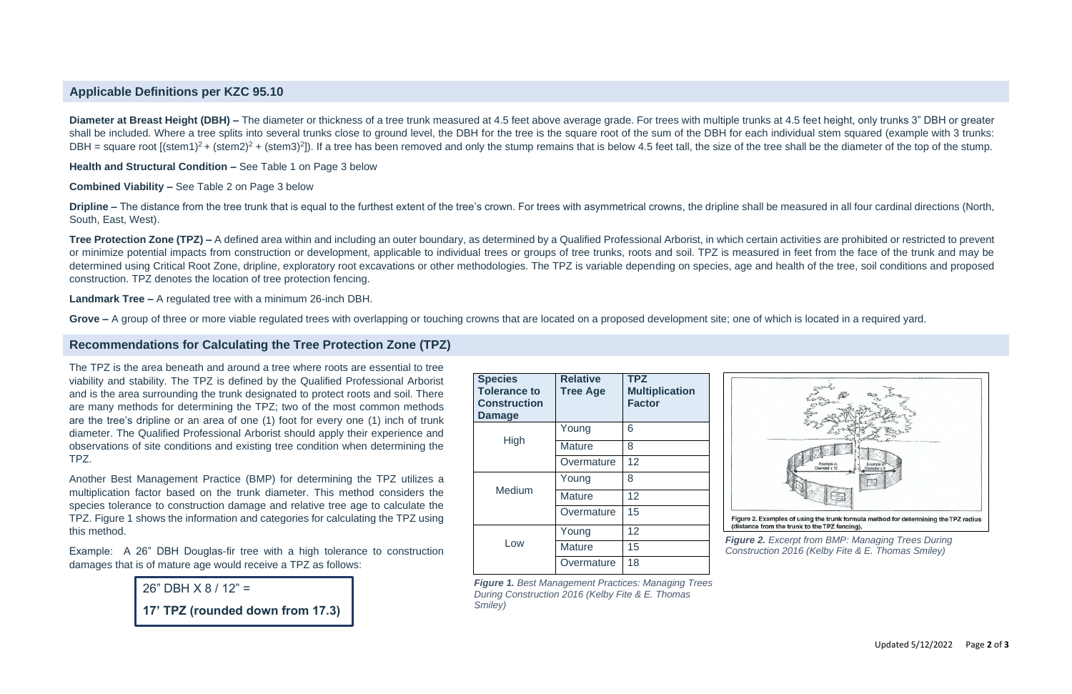| <b>Species</b><br><b>Tolerance to</b><br><b>Construction</b><br><b>Damage</b> | <b>Relative</b><br><b>Tree Age</b> | <b>TPZ</b><br><b>Multiplication</b><br><b>Factor</b> |
|-------------------------------------------------------------------------------|------------------------------------|------------------------------------------------------|
|                                                                               | Young                              | 6                                                    |
| High                                                                          | <b>Mature</b>                      | 8                                                    |
|                                                                               | Overmature                         | 12                                                   |
|                                                                               | Young                              | 8                                                    |
| Medium                                                                        | <b>Mature</b>                      | 12                                                   |
|                                                                               | Overmature                         | 15                                                   |
|                                                                               | Young                              | 12                                                   |
| Low                                                                           | <b>Mature</b>                      | 15                                                   |
|                                                                               | Overmature                         | 18                                                   |



(distance from the trunk to the TPZ fencing).

**Dripline –** The distance from the tree trunk that is equal to the furthest extent of the tree's crown. For trees with asymmetrical crowns, the dripline shall be measured in all four cardinal directions (North, South, East, West).

**Health and Structural Condition –** See Table 1 on Page 3 below

**Tree Protection Zone (TPZ)** – A defined area within and including an outer boundary, as determined by a Qualified Professional Arborist, in which certain activities are prohibited or restricted to prevent or minimize potential impacts from construction or development, applicable to individual trees or groups of tree trunks, roots and soil. TPZ is measured in feet from the face of the trunk and may be determined using Critical Root Zone, dripline, exploratory root excavations or other methodologies. The TPZ is variable depending on species, age and health of the tree, soil conditions and proposed construction. TPZ denotes the location of tree protection fencing.

**Combined Viability –** See Table 2 on Page 3 below

**Landmark Tree –** A regulated tree with a minimum 26-inch DBH.

Grove – A group of three or more viable regulated trees with overlapping or touching crowns that are located on a proposed development site; one of which is located in a required yard.

#### **Applicable Definitions per KZC 95.10**

**Diameter at Breast Height (DBH)** – The diameter or thickness of a tree trunk measured at 4.5 feet above average grade. For trees with multiple trunks at 4.5 feet height, only trunks 3" DBH or greater shall be included. Where a tree splits into several trunks close to ground level, the DBH for the tree is the square root of the sum of the DBH for each individual stem squared (example with 3 trunks: DBH = square root  $[(stem1)^2 + (stem2)^2 + (stem3)^2]$ ). If a tree has been removed and only the stump remains that is below 4.5 feet tall, the size of the tree shall be the diameter of the top of the stump.

#### **Recommendations for Calculating the Tree Protection Zone (TPZ)**

The TPZ is the area beneath and around a tree where roots are essential to tree viability and stability. The TPZ is defined by the Qualified Professional Arborist and is the area surrounding the trunk designated to protect roots and soil. There are many methods for determining the TPZ; two of the most common methods are the tree's dripline or an area of one (1) foot for every one (1) inch of trunk diameter. The Qualified Professional Arborist should apply their experience and observations of site conditions and existing tree condition when determining the TPZ.

Another Best Management Practice (BMP) for determining the TPZ utilizes a multiplication factor based on the trunk diameter. This method considers the species tolerance to construction damage and relative tree age to calculate the TPZ. Figure 1 shows the information and categories for calculating the TPZ using this method.

Example: A 26" DBH Douglas-fir tree with a high tolerance to construction damages that is of mature age would receive a TPZ as follows:

> *Figure 1. Best Management Practices: Managing Trees During Construction 2016 (Kelby Fite & E. Thomas Smiley)*

*Figure 2. Excerpt from BMP: Managing Trees During* 

*Construction 2016 (Kelby Fite & E. Thomas Smiley)*

26" DBH X 8 / 12" =

**17' TPZ (rounded down from 17.3)**